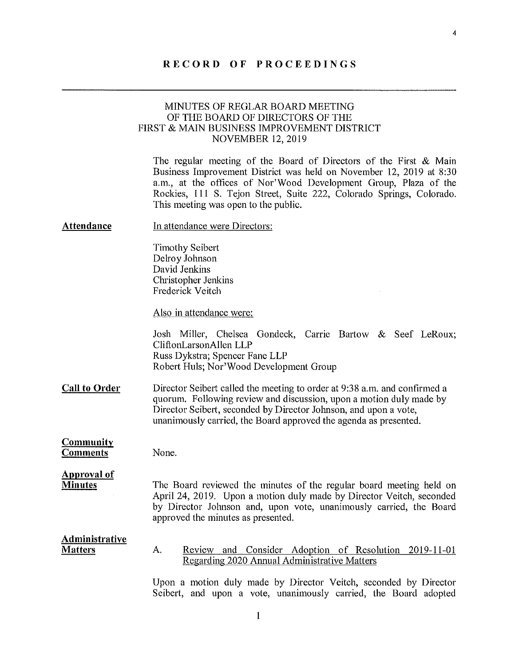### RECORD OF PROCEEDINGS

# MINUTES OF REGLAR BOARD MEETING OF THE BOARD OF DIRECTORS OF THE FIRST & MAIN BUSINESS IMPROVEMENT DISTRICT NOVEMBER 12, 2019

The regular meeting of the Board of Directors of the First & Main Business Improvement District was held on November 12, 2019 at 8:30 a.m., at the offices of Nor'Wood Development Group, Plaza of the Rockies, 111 S. Tejon Street, Suite 222, Colorado Springs, Colorado. This meeting was open to the public.

| Attendance                              | In attendance were Directors:                                                                                                                                                                                                                                                            |  |  |
|-----------------------------------------|------------------------------------------------------------------------------------------------------------------------------------------------------------------------------------------------------------------------------------------------------------------------------------------|--|--|
|                                         | <b>Timothy Seibert</b><br>Delroy Johnson<br>David Jenkins<br>Christopher Jenkins<br>Frederick Veitch                                                                                                                                                                                     |  |  |
|                                         | Also in attendance were:                                                                                                                                                                                                                                                                 |  |  |
|                                         | Josh Miller, Chelsea Gondeck, Carrie Bartow & Seef LeRoux;<br>CliftonLarsonAllen LLP<br>Russ Dykstra; Spencer Fane LLP<br>Robert Huls; Nor'Wood Development Group                                                                                                                        |  |  |
| <b>Call to Order</b>                    | Director Seibert called the meeting to order at 9:38 a.m. and confirmed a<br>quorum. Following review and discussion, upon a motion duly made by<br>Director Seibert, seconded by Director Johnson, and upon a vote,<br>unanimously carried, the Board approved the agenda as presented. |  |  |
| <b>Community</b><br><b>Comments</b>     | None.                                                                                                                                                                                                                                                                                    |  |  |
| <b>Approval of</b><br><b>Minutes</b>    | The Board reviewed the minutes of the regular board meeting held on<br>April 24, 2019. Upon a motion duly made by Director Veitch, seconded<br>by Director Johnson and, upon vote, unanimously carried, the Board<br>approved the minutes as presented.                                  |  |  |
| <b>Administrative</b><br><b>Matters</b> | Review and Consider Adoption of Resolution 2019-11-01<br>A.<br>Regarding 2020 Annual Administrative Matters                                                                                                                                                                              |  |  |
|                                         | Hnon a motion duly made by Director Veitch, seconded by Director                                                                                                                                                                                                                         |  |  |

Upon a motion duly made by Director Veitch, seconded by Director Seibert, and upon a vote, unanimously carried, the Board adopted

4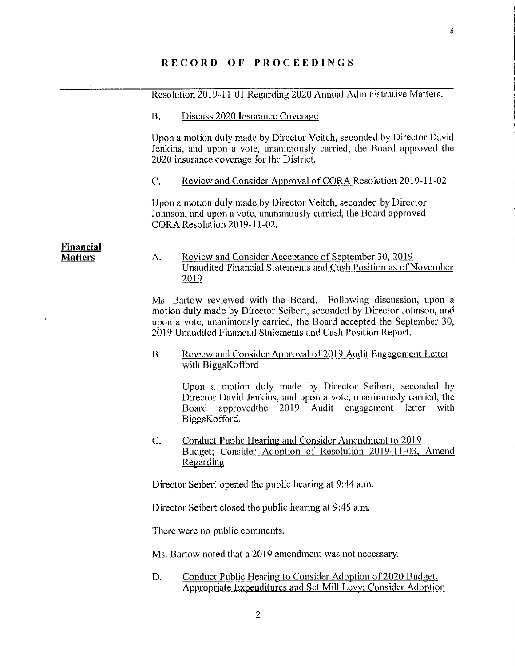|                                    |                 | Resolution 2019-11-01 Regarding 2020 Annual Administrative Matters.                                                                                                                                                                                                                    |
|------------------------------------|-----------------|----------------------------------------------------------------------------------------------------------------------------------------------------------------------------------------------------------------------------------------------------------------------------------------|
|                                    | <b>B.</b>       | Discuss 2020 Insurance Coverage                                                                                                                                                                                                                                                        |
|                                    |                 | Upon a motion duly made by Director Veitch, seconded by Director David<br>Jenkins, and upon a vote, unanimously carried, the Board approved the<br>2020 insurance coverage for the District.                                                                                           |
|                                    | $\mathcal{C}$ . | Review and Consider Approval of CORA Resolution 2019-11-02                                                                                                                                                                                                                             |
|                                    |                 | Upon a motion duly made by Director Veitch, seconded by Director<br>Johnson, and upon a vote, unanimously carried, the Board approved<br>CORA Resolution 2019-11-02.                                                                                                                   |
| <b>Financial</b><br><b>Matters</b> | A.              | <u>Review and Consider Acceptance of September 30, 2019</u><br>Unaudited Financial Statements and Cash Position as of November<br>2019                                                                                                                                                 |
|                                    |                 | Ms. Bartow reviewed with the Board. Following discussion, upon a<br>motion duly made by Director Seibert, seconded by Director Johnson, and<br>upon a vote, unanimously carried, the Board accepted the September 30,<br>2019 Unaudited Financial Statements and Cash Position Report. |
|                                    | <b>B.</b>       | Review and Consider Approval of 2019 Audit Engagement Letter<br>with BiggsKofford                                                                                                                                                                                                      |
|                                    |                 | Upon a motion duly made by Director Seibert, seconded by<br>Director David Jenkins, and upon a vote, unanimously carried, the<br>approved the 2019 Audit engagement<br>letter<br>with<br>Board<br>BiggsKofford.                                                                        |
|                                    | C.              | <b>Conduct Public Hearing and Consider Amendment to 2019</b><br>Budget; Consider Adoption of Resolution 2019-11-03, Amend<br>Regarding                                                                                                                                                 |
|                                    |                 | Director Seibert opened the public hearing at 9:44 a.m.                                                                                                                                                                                                                                |
|                                    |                 | Director Seibert closed the public hearing at 9:45 a.m.                                                                                                                                                                                                                                |
|                                    |                 | There were no public comments.                                                                                                                                                                                                                                                         |
|                                    |                 | Ms. Bartow noted that a 2019 amendment was not necessary.                                                                                                                                                                                                                              |
|                                    | D.              | Conduct Public Hearing to Consider Adoption of 2020 Budget,<br>Appropriate Expenditures and Set Mill Levy; Consider Adoption                                                                                                                                                           |
|                                    |                 |                                                                                                                                                                                                                                                                                        |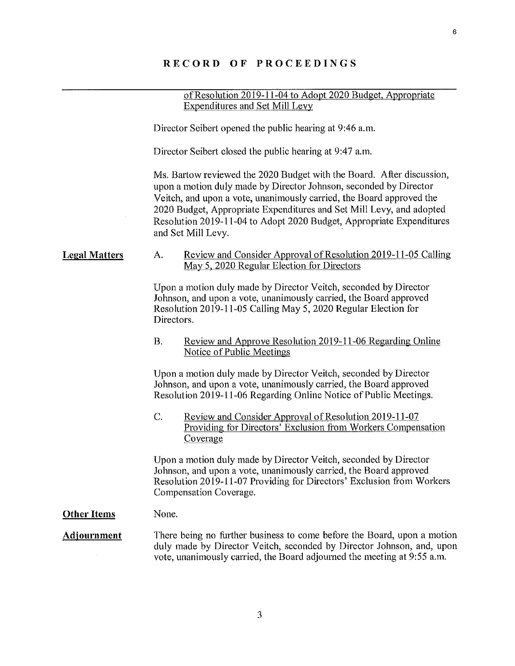### RECORD OF PROCEEDINGS

of Resolution 2019-11-04 to Adopt 2020 Budget, Appropriate Expenditures and Set Mill Levy

Director Seibert opened the public hearing at 9:46 a.m.

Director Seibert closed the public hearing at 9:47 a.m.

Ms. Bartow reviewed the 2020 Budget with the Board. After discussion, upon a motion duly made by Director Johnson, seconded by Director Veitch, and upon a vote, unanimously carried, the Board approved the 2020 Budget, Appropriate Expenditures and Set Mill Levy, and adopted Resolution 2019-11-04 to Adopt 2020 Budget, Appropriate Expenditures and Set Mill Levy.

### Legal Matters A, Review and Consider Approval of Resolution 2019-11-05 Calling May 5. 2020 Regular Election for Directors

Upon a motion duly made by Director Veitch, seconded by Director Johnson, and upon a vote, unanimously carried, the Board approved Resolution 2019-11-05 Calling May 5, 2020 Regular Election for Directors.

## B. Review and Approve Resolution 2019-11-06 Regarding Online Notice of Public Meetings

Upon a motion duly made by Director Veitch, seconded by Director Johnson, and upon a vote, unanimously carried, the Board approved Resolution 2019-11-06 Regarding Online Notice of Public Meetings.

C. Review and Consider Approval of Resolution 2019-11-07 Providing for Directors' Exclusion from Workers Compensation Coverage

Upon a motion duly made by Director Veitch, seconded by Director Johnson, and upon a vote, unanimously carried, the Board approved Resolution 2019-11-07 Providing for Directors' Exclusion from Workers Compensation Coverage.

#### **Other Items** None.

### Adiournment There being no further business to come before the Board, upon a motion duly made by Director Veitch, seconded by Director Johnson, and, upon vote, unanimously carried, the Board adjourned the meeting at 9:55 am.